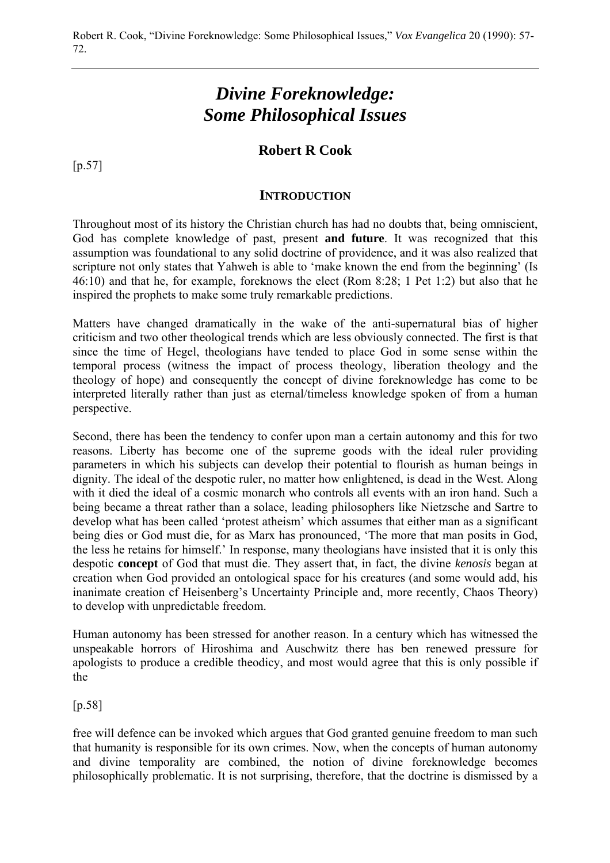# *Divine Foreknowledge: Some Philosophical Issues*

# **Robert R Cook**

[p.57]

#### **INTRODUCTION**

Throughout most of its history the Christian church has had no doubts that, being omniscient, God has complete knowledge of past, present **and future**. It was recognized that this assumption was foundational to any solid doctrine of providence, and it was also realized that scripture not only states that Yahweh is able to 'make known the end from the beginning' (Is 46:10) and that he, for example, foreknows the elect (Rom 8:28; 1 Pet 1:2) but also that he inspired the prophets to make some truly remarkable predictions.

Matters have changed dramatically in the wake of the anti-supernatural bias of higher criticism and two other theological trends which are less obviously connected. The first is that since the time of Hegel, theologians have tended to place God in some sense within the temporal process (witness the impact of process theology, liberation theology and the theology of hope) and consequently the concept of divine foreknowledge has come to be interpreted literally rather than just as eternal/timeless knowledge spoken of from a human perspective.

Second, there has been the tendency to confer upon man a certain autonomy and this for two reasons. Liberty has become one of the supreme goods with the ideal ruler providing parameters in which his subjects can develop their potential to flourish as human beings in dignity. The ideal of the despotic ruler, no matter how enlightened, is dead in the West. Along with it died the ideal of a cosmic monarch who controls all events with an iron hand. Such a being became a threat rather than a solace, leading philosophers like Nietzsche and Sartre to develop what has been called 'protest atheism' which assumes that either man as a significant being dies or God must die, for as Marx has pronounced, 'The more that man posits in God, the less he retains for himself.' In response, many theologians have insisted that it is only this despotic **concept** of God that must die. They assert that, in fact, the divine *kenosis* began at creation when God provided an ontological space for his creatures (and some would add, his inanimate creation cf Heisenberg's Uncertainty Principle and, more recently, Chaos Theory) to develop with unpredictable freedom.

Human autonomy has been stressed for another reason. In a century which has witnessed the unspeakable horrors of Hiroshima and Auschwitz there has ben renewed pressure for apologists to produce a credible theodicy, and most would agree that this is only possible if the

#### [p.58]

free will defence can be invoked which argues that God granted genuine freedom to man such that humanity is responsible for its own crimes. Now, when the concepts of human autonomy and divine temporality are combined, the notion of divine foreknowledge becomes philosophically problematic. It is not surprising, therefore, that the doctrine is dismissed by a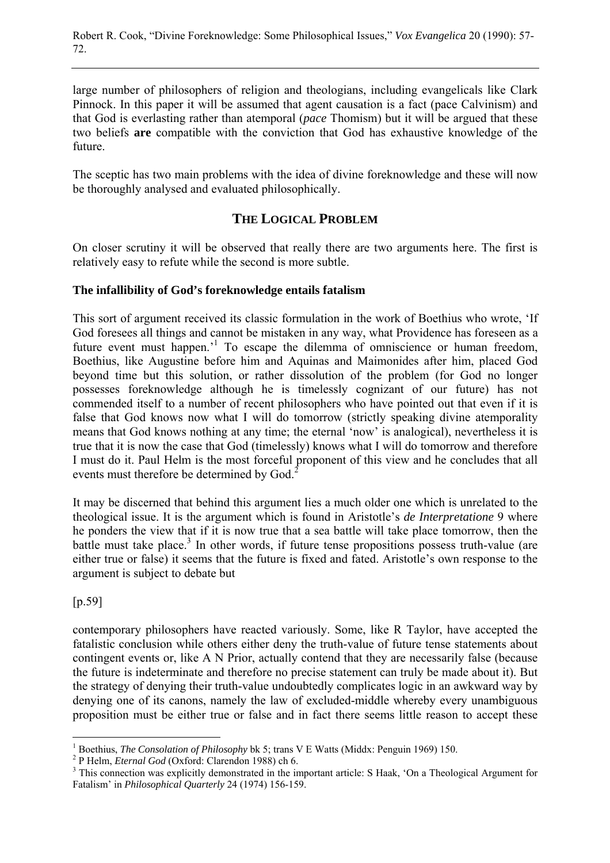large number of philosophers of religion and theologians, including evangelicals like Clark Pinnock. In this paper it will be assumed that agent causation is a fact (pace Calvinism) and that God is everlasting rather than atemporal (*pace* Thomism) but it will be argued that these two beliefs **are** compatible with the conviction that God has exhaustive knowledge of the future.

The sceptic has two main problems with the idea of divine foreknowledge and these will now be thoroughly analysed and evaluated philosophically.

# **THE LOGICAL PROBLEM**

On closer scrutiny it will be observed that really there are two arguments here. The first is relatively easy to refute while the second is more subtle.

## **The infallibility of God's foreknowledge entails fatalism**

This sort of argument received its classic formulation in the work of Boethius who wrote, 'If God foresees all things and cannot be mistaken in any way, what Providence has foreseen as a future event must happen.<sup>1</sup> To escape the dilemma of omniscience or human freedom, Boethius, like Augustine before him and Aquinas and Maimonides after him, placed God beyond time but this solution, or rather dissolution of the problem (for God no longer possesses foreknowledge although he is timelessly cognizant of our future) has not commended itself to a number of recent philosophers who have pointed out that even if it is false that God knows now what I will do tomorrow (strictly speaking divine atemporality means that God knows nothing at any time; the eternal 'now' is analogical), nevertheless it is true that it is now the case that God (timelessly) knows what I will do tomorrow and therefore I must do it. Paul Helm is the most forceful proponent of this view and he concludes that all events must therefore be determined by God.<sup>2</sup>

It may be discerned that behind this argument lies a much older one which is unrelated to the theological issue. It is the argument which is found in Aristotle's *de Interpretatione* 9 where he ponders the view that if it is now true that a sea battle will take place tomorrow, then the battle must take place.<sup>3</sup> In other words, if future tense propositions possess truth-value (are either true or false) it seems that the future is fixed and fated. Aristotle's own response to the argument is subject to debate but

[p.59]

contemporary philosophers have reacted variously. Some, like R Taylor, have accepted the fatalistic conclusion while others either deny the truth-value of future tense statements about contingent events or, like A N Prior, actually contend that they are necessarily false (because the future is indeterminate and therefore no precise statement can truly be made about it). But the strategy of denying their truth-value undoubtedly complicates logic in an awkward way by denying one of its canons, namely the law of excluded-middle whereby every unambiguous proposition must be either true or false and in fact there seems little reason to accept these

 $\overline{a}$ <sup>1</sup> Boethius, *The Consolation of Philosophy* bk 5; trans V E Watts (Middx: Penguin 1969) 150.

<sup>&</sup>lt;sup>2</sup> P Helm, *Eternal God* (Oxford: Clarendon 1988) ch 6.

<sup>&</sup>lt;sup>3</sup> This connection was explicitly demonstrated in the important article: S Haak, 'On a Theological Argument for Fatalism' in *Philosophical Quarterly* 24 (1974) 156-159.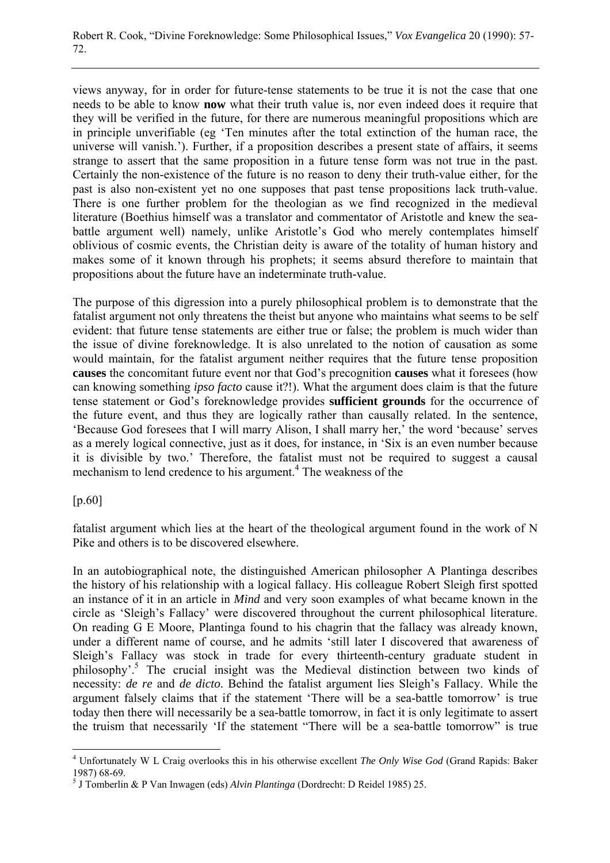views anyway, for in order for future-tense statements to be true it is not the case that one needs to be able to know **now** what their truth value is, nor even indeed does it require that they will be verified in the future, for there are numerous meaningful propositions which are in principle unverifiable (eg 'Ten minutes after the total extinction of the human race, the universe will vanish.'). Further, if a proposition describes a present state of affairs, it seems strange to assert that the same proposition in a future tense form was not true in the past. Certainly the non-existence of the future is no reason to deny their truth-value either, for the past is also non-existent yet no one supposes that past tense propositions lack truth-value. There is one further problem for the theologian as we find recognized in the medieval literature (Boethius himself was a translator and commentator of Aristotle and knew the seabattle argument well) namely, unlike Aristotle's God who merely contemplates himself oblivious of cosmic events, the Christian deity is aware of the totality of human history and makes some of it known through his prophets; it seems absurd therefore to maintain that propositions about the future have an indeterminate truth-value.

The purpose of this digression into a purely philosophical problem is to demonstrate that the fatalist argument not only threatens the theist but anyone who maintains what seems to be self evident: that future tense statements are either true or false; the problem is much wider than the issue of divine foreknowledge. It is also unrelated to the notion of causation as some would maintain, for the fatalist argument neither requires that the future tense proposition **causes** the concomitant future event nor that God's precognition **causes** what it foresees (how can knowing something *ipso facto* cause it?!). What the argument does claim is that the future tense statement or God's foreknowledge provides **sufficient grounds** for the occurrence of the future event, and thus they are logically rather than causally related. In the sentence, 'Because God foresees that I will marry Alison, I shall marry her,' the word 'because' serves as a merely logical connective, just as it does, for instance, in 'Six is an even number because it is divisible by two.' Therefore, the fatalist must not be required to suggest a causal mechanism to lend credence to his argument.<sup>4</sup> The weakness of the

[p.60]

 $\overline{a}$ 

fatalist argument which lies at the heart of the theological argument found in the work of N Pike and others is to be discovered elsewhere.

In an autobiographical note, the distinguished American philosopher A Plantinga describes the history of his relationship with a logical fallacy. His colleague Robert Sleigh first spotted an instance of it in an article in *Mind* and very soon examples of what became known in the circle as 'Sleigh's Fallacy' were discovered throughout the current philosophical literature. On reading G E Moore, Plantinga found to his chagrin that the fallacy was already known, under a different name of course, and he admits 'still later I discovered that awareness of Sleigh's Fallacy was stock in trade for every thirteenth-century graduate student in philosophy'.5 The crucial insight was the Medieval distinction between two kinds of necessity: *de re* and *de dicto*. Behind the fatalist argument lies Sleigh's Fallacy. While the argument falsely claims that if the statement 'There will be a sea-battle tomorrow' is true today then there will necessarily be a sea-battle tomorrow, in fact it is only legitimate to assert the truism that necessarily 'If the statement "There will be a sea-battle tomorrow" is true

<sup>4</sup> Unfortunately W L Craig overlooks this in his otherwise excellent *The Only Wise God* (Grand Rapids: Baker 1987) 68-69.

<sup>5</sup> J Tomberlin & P Van Inwagen (eds) *Alvin Plantinga* (Dordrecht: D Reidel 1985) 25.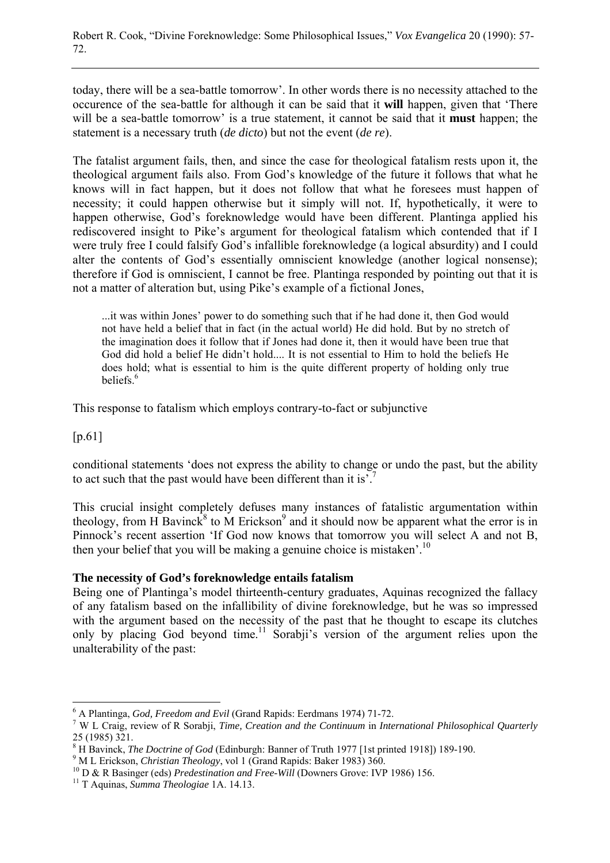today, there will be a sea-battle tomorrow'. In other words there is no necessity attached to the occurence of the sea-battle for although it can be said that it **will** happen, given that 'There will be a sea-battle tomorrow' is a true statement, it cannot be said that it **must** happen; the statement is a necessary truth (*de dicto*) but not the event (*de re*).

The fatalist argument fails, then, and since the case for theological fatalism rests upon it, the theological argument fails also. From God's knowledge of the future it follows that what he knows will in fact happen, but it does not follow that what he foresees must happen of necessity; it could happen otherwise but it simply will not. If, hypothetically, it were to happen otherwise, God's foreknowledge would have been different. Plantinga applied his rediscovered insight to Pike's argument for theological fatalism which contended that if I were truly free I could falsify God's infallible foreknowledge (a logical absurdity) and I could alter the contents of God's essentially omniscient knowledge (another logical nonsense); therefore if God is omniscient, I cannot be free. Plantinga responded by pointing out that it is not a matter of alteration but, using Pike's example of a fictional Jones,

...it was within Jones' power to do something such that if he had done it, then God would not have held a belief that in fact (in the actual world) He did hold. But by no stretch of the imagination does it follow that if Jones had done it, then it would have been true that God did hold a belief He didn't hold.... It is not essential to Him to hold the beliefs He does hold; what is essential to him is the quite different property of holding only true beliefs<sup>6</sup>

This response to fatalism which employs contrary-to-fact or subjunctive

[p.61]

 $\overline{a}$ 

conditional statements 'does not express the ability to change or undo the past, but the ability to act such that the past would have been different than it is'.<sup>7</sup>

This crucial insight completely defuses many instances of fatalistic argumentation within theology, from H Bavinck<sup>8</sup> to M Erickson<sup>9</sup> and it should now be apparent what the error is in Pinnock's recent assertion 'If God now knows that tomorrow you will select A and not B, then your belief that you will be making a genuine choice is mistaken'.<sup>10</sup>

#### **The necessity of God's foreknowledge entails fatalism**

Being one of Plantinga's model thirteenth-century graduates, Aquinas recognized the fallacy of any fatalism based on the infallibility of divine foreknowledge, but he was so impressed with the argument based on the necessity of the past that he thought to escape its clutches only by placing God beyond time.<sup>11</sup> Sorabii's version of the argument relies upon the unalterability of the past:

<sup>&</sup>lt;sup>6</sup> A Plantinga, *God, Freedom and Evil* (Grand Rapids: Eerdmans 1974) 71-72.

W L Craig, review of R Sorabji, *Time, Creation and the Continuum* in *International Philosophical Quarterly* 25 (1985) 321.

<sup>&</sup>lt;sup>8</sup> H Bavinck, *The Doctrine of God* (Edinburgh: Banner of Truth 1977 [1st printed 1918]) 189-190.

<sup>&</sup>lt;sup>9</sup> M L Erickson, *Christian Theology*, vol 1 (Grand Rapids: Baker 1983) 360.<br><sup>10</sup> D & R Basinger (eds) *Predestination and Free-Will* (Downers Grove: IVP 1986) 156.<br><sup>11</sup> T Aquinas, *Summa Theologiae* 1A. 14.13.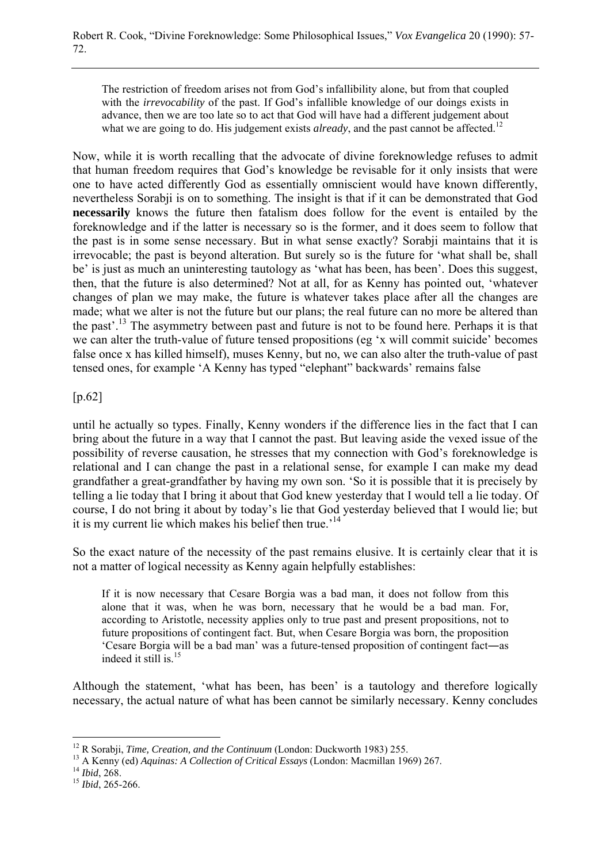The restriction of freedom arises not from God's infallibility alone, but from that coupled with the *irrevocability* of the past. If God's infallible knowledge of our doings exists in advance, then we are too late so to act that God will have had a different judgement about what we are going to do. His judgement exists *already*, and the past cannot be affected.<sup>12</sup>

Now, while it is worth recalling that the advocate of divine foreknowledge refuses to admit that human freedom requires that God's knowledge be revisable for it only insists that were one to have acted differently God as essentially omniscient would have known differently, nevertheless Sorabji is on to something. The insight is that if it can be demonstrated that God **necessarily** knows the future then fatalism does follow for the event is entailed by the foreknowledge and if the latter is necessary so is the former, and it does seem to follow that the past is in some sense necessary. But in what sense exactly? Sorabji maintains that it is irrevocable; the past is beyond alteration. But surely so is the future for 'what shall be, shall be' is just as much an uninteresting tautology as 'what has been, has been'. Does this suggest, then, that the future is also determined? Not at all, for as Kenny has pointed out, 'whatever changes of plan we may make, the future is whatever takes place after all the changes are made; what we alter is not the future but our plans; the real future can no more be altered than the past'.13 The asymmetry between past and future is not to be found here. Perhaps it is that we can alter the truth-value of future tensed propositions (eg 'x will commit suicide' becomes false once x has killed himself), muses Kenny, but no, we can also alter the truth-value of past tensed ones, for example 'A Kenny has typed "elephant" backwards' remains false

[p.62]

until he actually so types. Finally, Kenny wonders if the difference lies in the fact that I can bring about the future in a way that I cannot the past. But leaving aside the vexed issue of the possibility of reverse causation, he stresses that my connection with God's foreknowledge is relational and I can change the past in a relational sense, for example I can make my dead grandfather a great-grandfather by having my own son. 'So it is possible that it is precisely by telling a lie today that I bring it about that God knew yesterday that I would tell a lie today. Of course, I do not bring it about by today's lie that God yesterday believed that I would lie; but it is my current lie which makes his belief then true.<sup>14</sup>

So the exact nature of the necessity of the past remains elusive. It is certainly clear that it is not a matter of logical necessity as Kenny again helpfully establishes:

If it is now necessary that Cesare Borgia was a bad man, it does not follow from this alone that it was, when he was born, necessary that he would be a bad man. For, according to Aristotle, necessity applies only to true past and present propositions, not to future propositions of contingent fact. But, when Cesare Borgia was born, the proposition 'Cesare Borgia will be a bad man' was a future-tensed proposition of contingent fact―as indeed it still is.15

Although the statement, 'what has been, has been' is a tautology and therefore logically necessary, the actual nature of what has been cannot be similarly necessary. Kenny concludes

 $\overline{a}$ 

<sup>&</sup>lt;sup>12</sup> R Sorabji, *Time, Creation, and the Continuum* (London: Duckworth 1983) 255.<br><sup>13</sup> A Kenny (ed) *Aquinas: A Collection of Critical Essays* (London: Macmillan 1969) 267.<br><sup>14</sup> *Ibid*, 268.<br><sup>15</sup> *Ibid*, 265-266.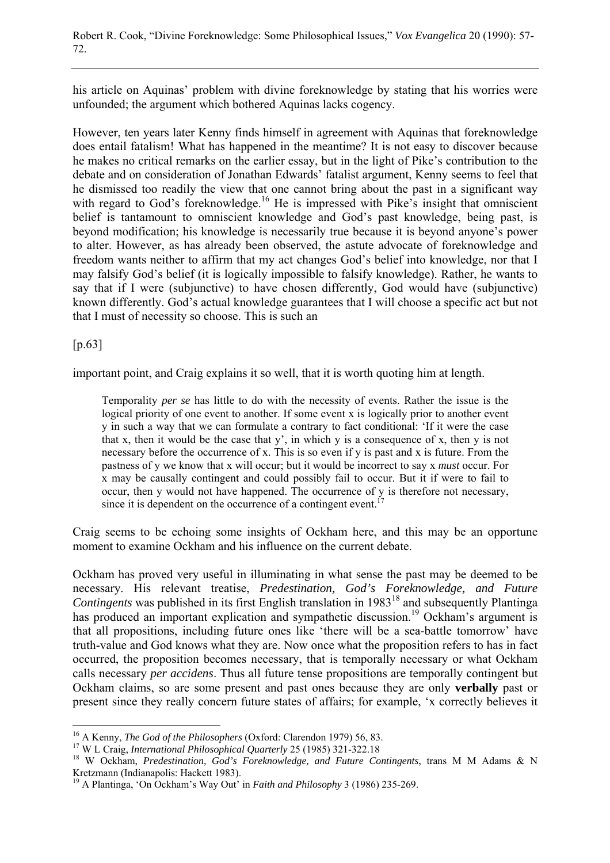his article on Aquinas' problem with divine foreknowledge by stating that his worries were unfounded; the argument which bothered Aquinas lacks cogency.

However, ten years later Kenny finds himself in agreement with Aquinas that foreknowledge does entail fatalism! What has happened in the meantime? It is not easy to discover because he makes no critical remarks on the earlier essay, but in the light of Pike's contribution to the debate and on consideration of Jonathan Edwards' fatalist argument, Kenny seems to feel that he dismissed too readily the view that one cannot bring about the past in a significant way with regard to God's foreknowledge.<sup>16</sup> He is impressed with Pike's insight that omniscient belief is tantamount to omniscient knowledge and God's past knowledge, being past, is beyond modification; his knowledge is necessarily true because it is beyond anyone's power to alter. However, as has already been observed, the astute advocate of foreknowledge and freedom wants neither to affirm that my act changes God's belief into knowledge, nor that I may falsify God's belief (it is logically impossible to falsify knowledge). Rather, he wants to say that if I were (subjunctive) to have chosen differently, God would have (subjunctive) known differently. God's actual knowledge guarantees that I will choose a specific act but not that I must of necessity so choose. This is such an

## [p.63]

important point, and Craig explains it so well, that it is worth quoting him at length.

Temporality *per se* has little to do with the necessity of events. Rather the issue is the logical priority of one event to another. If some event x is logically prior to another event y in such a way that we can formulate a contrary to fact conditional: 'If it were the case that x, then it would be the case that y', in which y is a consequence of x, then y is not necessary before the occurrence of x. This is so even if y is past and x is future. From the pastness of y we know that x will occur; but it would be incorrect to say x *must* occur. For x may be causally contingent and could possibly fail to occur. But it if were to fail to occur, then y would not have happened. The occurrence of y is therefore not necessary, since it is dependent on the occurrence of a contingent event.<sup>1</sup>

Craig seems to be echoing some insights of Ockham here, and this may be an opportune moment to examine Ockham and his influence on the current debate.

Ockham has proved very useful in illuminating in what sense the past may be deemed to be necessary. His relevant treatise, *Predestination, God's Foreknowledge, and Future Contingents* was published in its first English translation in 1983<sup>18</sup> and subsequently Plantinga has produced an important explication and sympathetic discussion.<sup>19</sup> Ockham's argument is that all propositions, including future ones like 'there will be a sea-battle tomorrow' have truth-value and God knows what they are. Now once what the proposition refers to has in fact occurred, the proposition becomes necessary, that is temporally necessary or what Ockham calls necessary *per accidens*. Thus all future tense propositions are temporally contingent but Ockham claims, so are some present and past ones because they are only **verbally** past or present since they really concern future states of affairs; for example, 'x correctly believes it

<sup>&</sup>lt;sup>16</sup> A Kenny, *The God of the Philosophers* (Oxford: Clarendon 1979) 56, 83.

<sup>&</sup>lt;sup>17</sup> W L Craig, *International Philosophical Quarterly* 25 (1985) 321-322.18<br><sup>18</sup> W Ockham, *Predestination, God's Foreknowledge, and Future Contingents*, trans M M Adams & N Kretzmann (Indianapolis: Hackett 1983).

<sup>19</sup> A Plantinga, 'On Ockham's Way Out' in *Faith and Philosophy* 3 (1986) 235-269.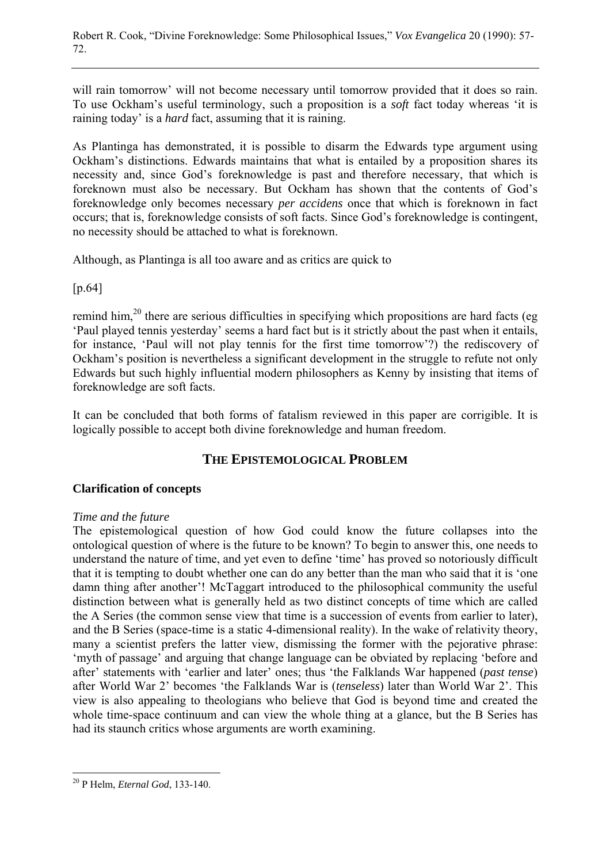will rain tomorrow' will not become necessary until tomorrow provided that it does so rain. To use Ockham's useful terminology, such a proposition is a *soft* fact today whereas 'it is raining today' is a *hard* fact, assuming that it is raining.

As Plantinga has demonstrated, it is possible to disarm the Edwards type argument using Ockham's distinctions. Edwards maintains that what is entailed by a proposition shares its necessity and, since God's foreknowledge is past and therefore necessary, that which is foreknown must also be necessary. But Ockham has shown that the contents of God's foreknowledge only becomes necessary *per accidens* once that which is foreknown in fact occurs; that is, foreknowledge consists of soft facts. Since God's foreknowledge is contingent, no necessity should be attached to what is foreknown.

Although, as Plantinga is all too aware and as critics are quick to

[p.64]

remind him,<sup>20</sup> there are serious difficulties in specifying which propositions are hard facts (eg) 'Paul played tennis yesterday' seems a hard fact but is it strictly about the past when it entails, for instance, 'Paul will not play tennis for the first time tomorrow'?) the rediscovery of Ockham's position is nevertheless a significant development in the struggle to refute not only Edwards but such highly influential modern philosophers as Kenny by insisting that items of foreknowledge are soft facts.

It can be concluded that both forms of fatalism reviewed in this paper are corrigible. It is logically possible to accept both divine foreknowledge and human freedom.

# **THE EPISTEMOLOGICAL PROBLEM**

## **Clarification of concepts**

#### *Time and the future*

The epistemological question of how God could know the future collapses into the ontological question of where is the future to be known? To begin to answer this, one needs to understand the nature of time, and yet even to define 'time' has proved so notoriously difficult that it is tempting to doubt whether one can do any better than the man who said that it is 'one damn thing after another'! McTaggart introduced to the philosophical community the useful distinction between what is generally held as two distinct concepts of time which are called the A Series (the common sense view that time is a succession of events from earlier to later), and the B Series (space-time is a static 4-dimensional reality). In the wake of relativity theory, many a scientist prefers the latter view, dismissing the former with the pejorative phrase: 'myth of passage' and arguing that change language can be obviated by replacing 'before and after' statements with 'earlier and later' ones; thus 'the Falklands War happened (*past tense*) after World War 2' becomes 'the Falklands War is (*tenseless*) later than World War 2'. This view is also appealing to theologians who believe that God is beyond time and created the whole time-space continuum and can view the whole thing at a glance, but the B Series has had its staunch critics whose arguments are worth examining.

 $\overline{a}$ 20 P Helm, *Eternal God*, 133-140.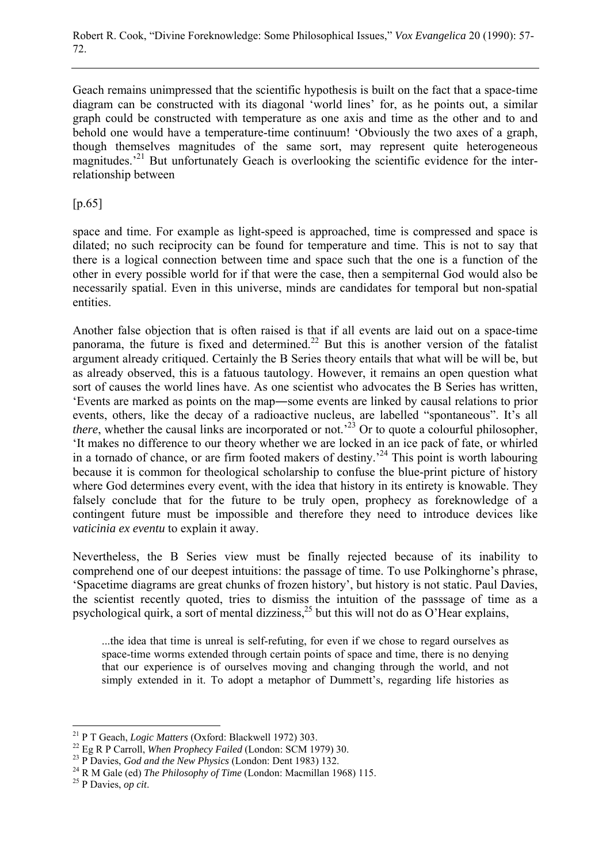Geach remains unimpressed that the scientific hypothesis is built on the fact that a space-time diagram can be constructed with its diagonal 'world lines' for, as he points out, a similar graph could be constructed with temperature as one axis and time as the other and to and behold one would have a temperature-time continuum! 'Obviously the two axes of a graph, though themselves magnitudes of the same sort, may represent quite heterogeneous magnitudes.<sup>21</sup> But unfortunately Geach is overlooking the scientific evidence for the interrelationship between

## $[p.65]$

space and time. For example as light-speed is approached, time is compressed and space is dilated; no such reciprocity can be found for temperature and time. This is not to say that there is a logical connection between time and space such that the one is a function of the other in every possible world for if that were the case, then a sempiternal God would also be necessarily spatial. Even in this universe, minds are candidates for temporal but non-spatial entities.

Another false objection that is often raised is that if all events are laid out on a space-time panorama, the future is fixed and determined.<sup>22</sup> But this is another version of the fatalist argument already critiqued. Certainly the B Series theory entails that what will be will be, but as already observed, this is a fatuous tautology. However, it remains an open question what sort of causes the world lines have. As one scientist who advocates the B Series has written, 'Events are marked as points on the map―some events are linked by causal relations to prior events, others, like the decay of a radioactive nucleus, are labelled "spontaneous". It's all *there*, whether the causal links are incorporated or not.<sup>23</sup> Or to quote a colourful philosopher, 'It makes no difference to our theory whether we are locked in an ice pack of fate, or whirled in a tornado of chance, or are firm footed makers of destiny.<sup>24</sup> This point is worth labouring because it is common for theological scholarship to confuse the blue-print picture of history where God determines every event, with the idea that history in its entirety is knowable. They falsely conclude that for the future to be truly open, prophecy as foreknowledge of a contingent future must be impossible and therefore they need to introduce devices like *vaticinia ex eventu* to explain it away.

Nevertheless, the B Series view must be finally rejected because of its inability to comprehend one of our deepest intuitions: the passage of time. To use Polkinghorne's phrase, 'Spacetime diagrams are great chunks of frozen history', but history is not static. Paul Davies, the scientist recently quoted, tries to dismiss the intuition of the passsage of time as a psychological quirk, a sort of mental dizziness,  $^{25}$  but this will not do as O'Hear explains,

...the idea that time is unreal is self-refuting, for even if we chose to regard ourselves as space-time worms extended through certain points of space and time, there is no denying that our experience is of ourselves moving and changing through the world, and not simply extended in it. To adopt a metaphor of Dummett's, regarding life histories as

<sup>&</sup>lt;sup>21</sup> P T Geach, *Logic Matters* (Oxford: Blackwell 1972) 303.

<sup>&</sup>lt;sup>22</sup> Eg R P Carroll, *When Prophecy Failed* (London: SCM 1979) 30.<br><sup>23</sup> P Davies, *God and the New Physics* (London: Dent 1983) 132.<br><sup>24</sup> R M Gale (ed) *The Philosophy of Time* (London: Macmillan 1968) 115.<br><sup>25</sup> P Davies.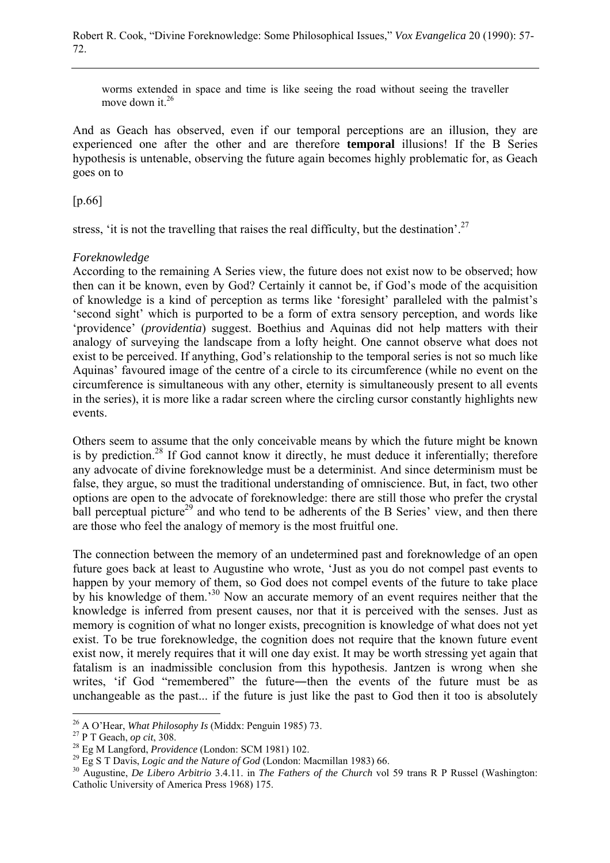worms extended in space and time is like seeing the road without seeing the traveller move down it.<sup>26</sup>

And as Geach has observed, even if our temporal perceptions are an illusion, they are experienced one after the other and are therefore **temporal** illusions! If the B Series hypothesis is untenable, observing the future again becomes highly problematic for, as Geach goes on to

[p.66]

stress, 'it is not the travelling that raises the real difficulty, but the destination'.<sup>27</sup>

### *Foreknowledge*

According to the remaining A Series view, the future does not exist now to be observed; how then can it be known, even by God? Certainly it cannot be, if God's mode of the acquisition of knowledge is a kind of perception as terms like 'foresight' paralleled with the palmist's 'second sight' which is purported to be a form of extra sensory perception, and words like 'providence' (*providentia*) suggest. Boethius and Aquinas did not help matters with their analogy of surveying the landscape from a lofty height. One cannot observe what does not exist to be perceived. If anything, God's relationship to the temporal series is not so much like Aquinas' favoured image of the centre of a circle to its circumference (while no event on the circumference is simultaneous with any other, eternity is simultaneously present to all events in the series), it is more like a radar screen where the circling cursor constantly highlights new events.

Others seem to assume that the only conceivable means by which the future might be known is by prediction.<sup>28</sup> If God cannot know it directly, he must deduce it inferentially; therefore any advocate of divine foreknowledge must be a determinist. And since determinism must be false, they argue, so must the traditional understanding of omniscience. But, in fact, two other options are open to the advocate of foreknowledge: there are still those who prefer the crystal ball perceptual picture<sup>29</sup> and who tend to be adherents of the B Series' view, and then there are those who feel the analogy of memory is the most fruitful one.

The connection between the memory of an undetermined past and foreknowledge of an open future goes back at least to Augustine who wrote, 'Just as you do not compel past events to happen by your memory of them, so God does not compel events of the future to take place by his knowledge of them.<sup>30</sup> Now an accurate memory of an event requires neither that the knowledge is inferred from present causes, nor that it is perceived with the senses. Just as memory is cognition of what no longer exists, precognition is knowledge of what does not yet exist. To be true foreknowledge, the cognition does not require that the known future event exist now, it merely requires that it will one day exist. It may be worth stressing yet again that fatalism is an inadmissible conclusion from this hypothesis. Jantzen is wrong when she writes, 'if God "remembered" the future—then the events of the future must be as unchangeable as the past... if the future is just like the past to God then it too is absolutely

<sup>&</sup>lt;sup>26</sup> A O'Hear, *What Philosophy Is* (Middx: Penguin 1985) 73.

<sup>&</sup>lt;sup>27</sup> P T Geach, *op cit*, 308.<br><sup>28</sup> Eg M Langford, *Providence* (London: SCM 1981) 102.<br><sup>29</sup> Eg S T Davis, *Logic and the Nature of God* (London: Macmillan 1983) 66.<br><sup>30</sup> Augustine, *De Libero Arbitrio* 3.4.11. in *The Fa* Catholic University of America Press 1968) 175.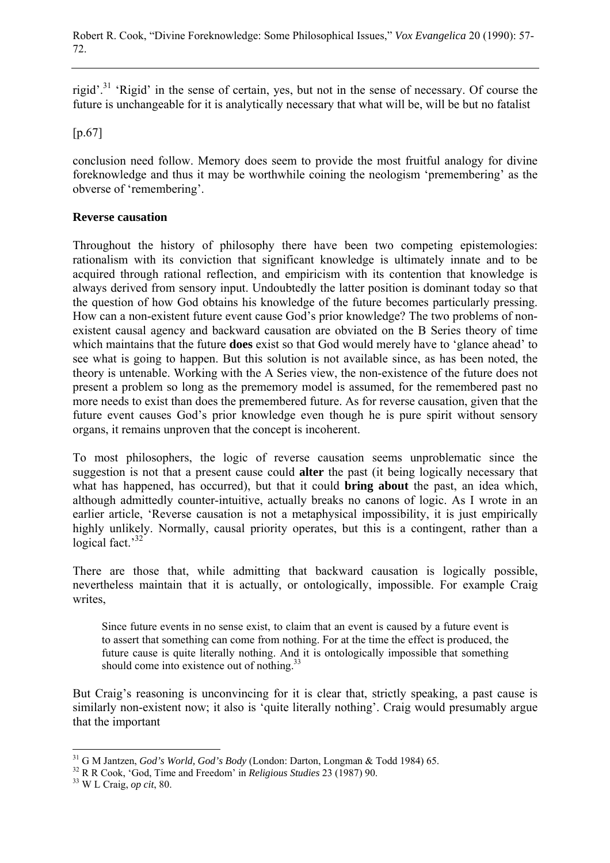rigid'.31 'Rigid' in the sense of certain, yes, but not in the sense of necessary. Of course the future is unchangeable for it is analytically necessary that what will be, will be but no fatalist

[p.67]

conclusion need follow. Memory does seem to provide the most fruitful analogy for divine foreknowledge and thus it may be worthwhile coining the neologism 'premembering' as the obverse of 'remembering'.

### **Reverse causation**

Throughout the history of philosophy there have been two competing epistemologies: rationalism with its conviction that significant knowledge is ultimately innate and to be acquired through rational reflection, and empiricism with its contention that knowledge is always derived from sensory input. Undoubtedly the latter position is dominant today so that the question of how God obtains his knowledge of the future becomes particularly pressing. How can a non-existent future event cause God's prior knowledge? The two problems of nonexistent causal agency and backward causation are obviated on the B Series theory of time which maintains that the future **does** exist so that God would merely have to 'glance ahead' to see what is going to happen. But this solution is not available since, as has been noted, the theory is untenable. Working with the A Series view, the non-existence of the future does not present a problem so long as the prememory model is assumed, for the remembered past no more needs to exist than does the premembered future. As for reverse causation, given that the future event causes God's prior knowledge even though he is pure spirit without sensory organs, it remains unproven that the concept is incoherent.

To most philosophers, the logic of reverse causation seems unproblematic since the suggestion is not that a present cause could **alter** the past (it being logically necessary that what has happened, has occurred), but that it could **bring about** the past, an idea which, although admittedly counter-intuitive, actually breaks no canons of logic. As I wrote in an earlier article, 'Reverse causation is not a metaphysical impossibility, it is just empirically highly unlikely. Normally, causal priority operates, but this is a contingent, rather than a logical fact.<sup>32</sup>

There are those that, while admitting that backward causation is logically possible, nevertheless maintain that it is actually, or ontologically, impossible. For example Craig writes,

Since future events in no sense exist, to claim that an event is caused by a future event is to assert that something can come from nothing. For at the time the effect is produced, the future cause is quite literally nothing. And it is ontologically impossible that something should come into existence out of nothing.<sup>33</sup>

But Craig's reasoning is unconvincing for it is clear that, strictly speaking, a past cause is similarly non-existent now; it also is 'quite literally nothing'. Craig would presumably argue that the important

 $\overline{a}$ 

<sup>31</sup> G M Jantzen, *God's World, God's Body* (London: Darton, Longman & Todd 1984) 65. 32 R R Cook, 'God, Time and Freedom' in *Religious Studies* 23 (1987) 90. 33 W L Craig, *op cit*, 80.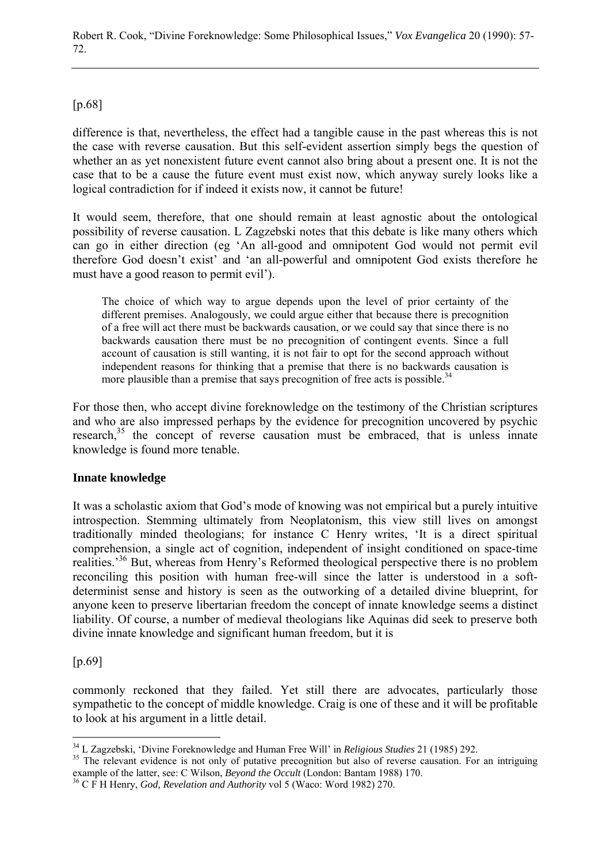[p.68]

difference is that, nevertheless, the effect had a tangible cause in the past whereas this is not the case with reverse causation. But this self-evident assertion simply begs the question of whether an as yet nonexistent future event cannot also bring about a present one. It is not the case that to be a cause the future event must exist now, which anyway surely looks like a logical contradiction for if indeed it exists now, it cannot be future!

It would seem, therefore, that one should remain at least agnostic about the ontological possibility of reverse causation. L Zagzebski notes that this debate is like many others which can go in either direction (eg 'An all-good and omnipotent God would not permit evil therefore God doesn't exist' and 'an all-powerful and omnipotent God exists therefore he must have a good reason to permit evil').

The choice of which way to argue depends upon the level of prior certainty of the different premises. Analogously, we could argue either that because there is precognition of a free will act there must be backwards causation, or we could say that since there is no backwards causation there must be no precognition of contingent events. Since a full account of causation is still wanting, it is not fair to opt for the second approach without independent reasons for thinking that a premise that there is no backwards causation is more plausible than a premise that says precognition of free acts is possible.<sup>34</sup>

For those then, who accept divine foreknowledge on the testimony of the Christian scriptures and who are also impressed perhaps by the evidence for precognition uncovered by psychic research,<sup>35</sup> the concept of reverse causation must be embraced, that is unless innate knowledge is found more tenable.

# **Innate knowledge**

It was a scholastic axiom that God's mode of knowing was not empirical but a purely intuitive introspection. Stemming ultimately from Neoplatonism, this view still lives on amongst traditionally minded theologians; for instance C Henry writes, 'It is a direct spiritual comprehension, a single act of cognition, independent of insight conditioned on space-time realities.<sup>36</sup> But, whereas from Henry's Reformed theological perspective there is no problem reconciling this position with human free-will since the latter is understood in a softdeterminist sense and history is seen as the outworking of a detailed divine blueprint, for anyone keen to preserve libertarian freedom the concept of innate knowledge seems a distinct liability. Of course, a number of medieval theologians like Aquinas did seek to preserve both divine innate knowledge and significant human freedom, but it is

[p.69]

commonly reckoned that they failed. Yet still there are advocates, particularly those sympathetic to the concept of middle knowledge. Craig is one of these and it will be profitable to look at his argument in a little detail.

<sup>&</sup>lt;sup>34</sup> L Zagzebski, 'Divine Foreknowledge and Human Free Will' in *Religious Studies* 21 (1985) 292.

<sup>&</sup>lt;sup>35</sup> The relevant evidence is not only of putative precognition but also of reverse causation. For an intriguing example of the latter, see: C Wilson, *Beyond the Occult* (London: Bantam 1988) 170.

<sup>&</sup>lt;sup>36</sup> C F H Henry, *God, Revelation and Authority* vol 5 (Waco: Word 1982) 270.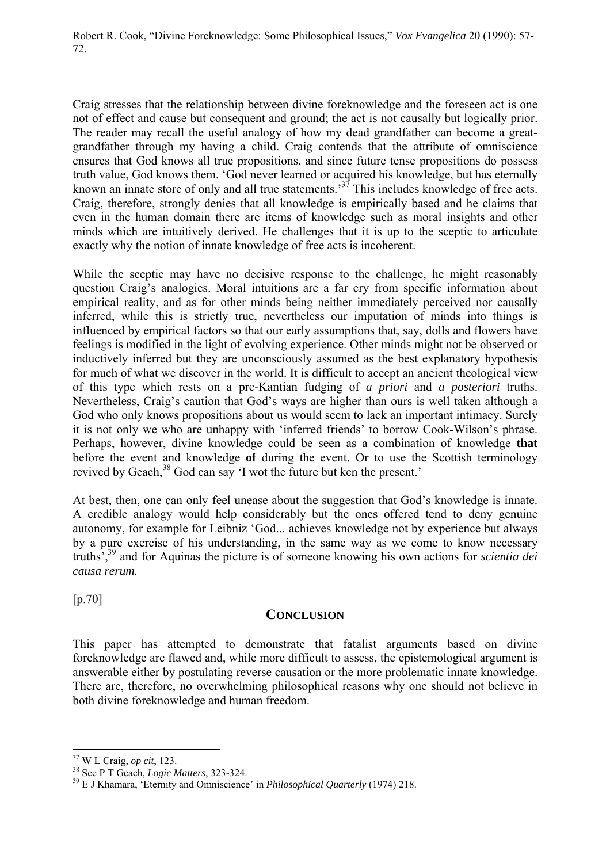Craig stresses that the relationship between divine foreknowledge and the foreseen act is one not of effect and cause but consequent and ground; the act is not causally but logically prior. The reader may recall the useful analogy of how my dead grandfather can become a greatgrandfather through my having a child. Craig contends that the attribute of omniscience ensures that God knows all true propositions, and since future tense propositions do possess truth value, God knows them. 'God never learned or acquired his knowledge, but has eternally known an innate store of only and all true statements.<sup>37</sup> This includes knowledge of free acts. Craig, therefore, strongly denies that all knowledge is empirically based and he claims that even in the human domain there are items of knowledge such as moral insights and other minds which are intuitively derived. He challenges that it is up to the sceptic to articulate exactly why the notion of innate knowledge of free acts is incoherent.

While the sceptic may have no decisive response to the challenge, he might reasonably question Craig's analogies. Moral intuitions are a far cry from specific information about empirical reality, and as for other minds being neither immediately perceived nor causally inferred, while this is strictly true, nevertheless our imputation of minds into things is influenced by empirical factors so that our early assumptions that, say, dolls and flowers have feelings is modified in the light of evolving experience. Other minds might not be observed or inductively inferred but they are unconsciously assumed as the best explanatory hypothesis for much of what we discover in the world. It is difficult to accept an ancient theological view of this type which rests on a pre-Kantian fudging of *a priori* and *a posteriori* truths. Nevertheless, Craig's caution that God's ways are higher than ours is well taken although a God who only knows propositions about us would seem to lack an important intimacy. Surely it is not only we who are unhappy with 'inferred friends' to borrow Cook-Wilson's phrase. Perhaps, however, divine knowledge could be seen as a combination of knowledge **that** before the event and knowledge **of** during the event. Or to use the Scottish terminology revived by Geach,<sup>38</sup> God can say 'I wot the future but ken the present.'

At best, then, one can only feel unease about the suggestion that God's knowledge is innate. A credible analogy would help considerably but the ones offered tend to deny genuine autonomy, for example for Leibniz 'God... achieves knowledge not by experience but always by a pure exercise of his understanding, in the same way as we come to know necessary truths',39 and for Aquinas the picture is of someone knowing his own actions for *scientia dei causa rerum.*

[p.70]

 $\overline{a}$ 

## **CONCLUSION**

This paper has attempted to demonstrate that fatalist arguments based on divine foreknowledge are flawed and, while more difficult to assess, the epistemological argument is answerable either by postulating reverse causation or the more problematic innate knowledge. There are, therefore, no overwhelming philosophical reasons why one should not believe in both divine foreknowledge and human freedom.

<sup>37</sup> W L Craig, *op cit*, 123. 38 See P T Geach, *Logic Matters*, 323-324. 39 E J Khamara, 'Eternity and Omniscience' in *Philosophical Quarterly* (1974) 218.